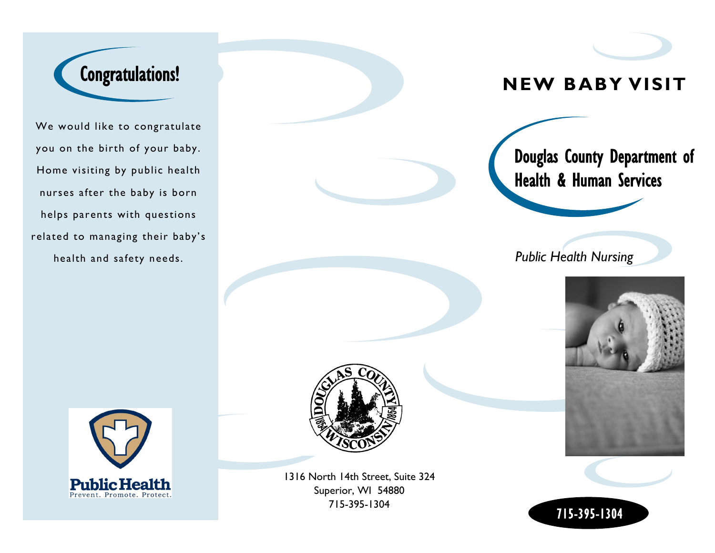

We would like to congratulate you on the birth of your baby. Home visiting by public health nurses after the baby is born helps parents with questions related to managing their baby's health and safety needs.





1316 North 14th Street, Suite 324 Superior, WI 54880 715-395-1304

# **NEW BABY VISIT**

Douglas County Department of Health & Human Services

*Public Health Nursing*